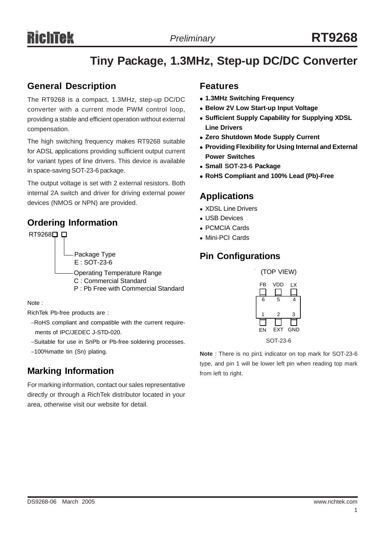# **Tiny Package, 1.3MHz, Step-up DC/DC Converter**

#### **General Description**

The RT9268 is a compact, 1.3MHz, step-up DC/DC converter with a current mode PWM control loop, providing a stable and efficient operation without external compensation.

The high switching frequency makes RT9268 suitable for ADSL applications providing sufficient output current for variant types of line drivers. This device is available in space-saving SOT-23-6 package.

The output voltage is set with 2 external resistors. Both internal 2A switch and driver for driving external power devices (NMOS or NPN) are provided.

#### **Ordering Information**



Note :

RichTek Pb-free products are :

- −RoHS compliant and compatible with the current require ments of IPC/JEDEC J-STD-020.
- −Suitable for use in SnPb or Pb-free soldering processes.
- −100%matte tin (Sn) plating.

## **Marking Information**

For marking information, contact our sales representative directly or through a RichTek distributor located in your area, otherwise visit our website for detail.

#### **Features**

- <sup>z</sup> **1.3MHz Switching Frequency**
- **Below 2V Low Start-up Input Voltage**
- **Sufficient Supply Capability for Supplying XDSL Line Drivers**
- **Zero Shutdown Mode Supply Current**
- **Providing Flexibility for Using Internal and External Power Switches**
- <sup>z</sup> **Small SOT-23-6 Package**
- <sup>z</sup> **RoHS Compliant and 100% Lead (Pb)-Free**

## **Applications**

- XDSL Line Drivers
- **LUSB Devices**
- <sup>z</sup> PCMCIA Cards
- Mini-PCI Cards

## **Pin Configurations**

| (TOP VIEW) |            |     |  |  |
|------------|------------|-----|--|--|
| FB         | VDD        | LX  |  |  |
| 6          | 5          | 4   |  |  |
| 1          | 2          | 3   |  |  |
| EN         | <b>EXT</b> | GND |  |  |
| SOT-23-6   |            |     |  |  |

**Note** : There is no pin1 indicator on top mark for SOT-23-6 type, and pin 1 will be lower left pin when reading top mark from left to right.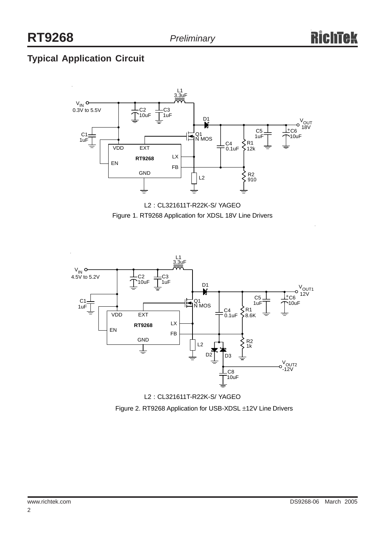## **Typical Application Circuit**







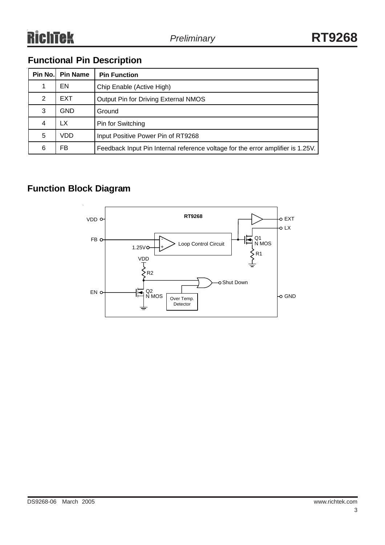## **Functional Pin Description**

| Pin No. | <b>Pin Name</b> | <b>Pin Function</b>                                                             |
|---------|-----------------|---------------------------------------------------------------------------------|
|         | EN              | Chip Enable (Active High)                                                       |
| 2       | <b>EXT</b>      | Output Pin for Driving External NMOS                                            |
| 3       | GND             | Ground                                                                          |
| 4       | LX              | Pin for Switching                                                               |
| 5       | VDD             | Input Positive Power Pin of RT9268                                              |
| 6       | FB              | Feedback Input Pin Internal reference voltage for the error amplifier is 1.25V. |

## **Function Block Diagram**

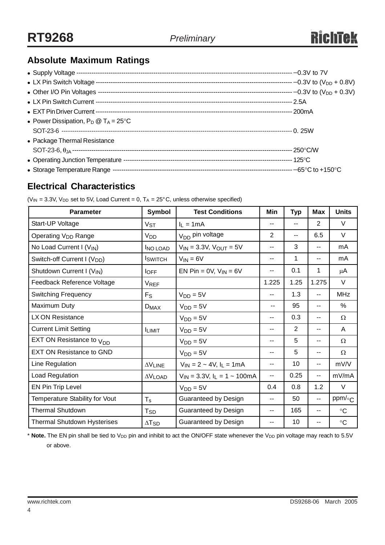## **Absolute Maximum Ratings**

| • Power Dissipation, $P_D @ T_A = 25^{\circ}C$ |  |
|------------------------------------------------|--|
|                                                |  |
| • Package Thermal Resistance                   |  |
|                                                |  |
|                                                |  |
|                                                |  |

## **Electrical Characteristics**

| <b>Parameter</b>                        | <b>Symbol</b>            | <b>Test Conditions</b>                              | Min     | <b>Typ</b>    | <b>Max</b>     | <b>Units</b>    |
|-----------------------------------------|--------------------------|-----------------------------------------------------|---------|---------------|----------------|-----------------|
| Start-UP Voltage                        | $V_{ST}$                 | $I_1 = 1mA$                                         | --      | $\sim$ $\sim$ | $\overline{2}$ | $\vee$          |
| Operating V <sub>DD</sub> Range         | V <sub>DD</sub>          | V <sub>DD</sub> pin voltage<br>$\overline{2}$<br>-- |         | 6.5           | V              |                 |
| No Load Current I (V <sub>IN</sub> )    | <b>INO LOAD</b>          | 3<br>$V_{IN} = 3.3V$ , $V_{OUT} = 5V$<br>--         |         | --            | mA             |                 |
| Switch-off Current I (V <sub>DD</sub> ) | <b>I</b> switch          | $V_{IN} = 6V$                                       | 1<br>-- |               | --             | mA              |
| Shutdown Current I (VIN)                | $I_{OFF}$                | EN Pin = $0V$ , $V_{IN} = 6V$                       | --      | 0.1           | 1              | μA              |
| Feedback Reference Voltage              | <b>VREF</b>              |                                                     | 1.225   | 1.25          | 1.275          | V               |
| <b>Switching Frequency</b>              | $F_S$                    | $V_{DD} = 5V$                                       | --      | 1.3           | ۰.             | <b>MHz</b>      |
| Maximum Duty                            | $D_{MAX}$                | $V_{DD} = 5V$                                       | --      | 95            | --             | %               |
| LX ON Resistance                        |                          | $VDD = 5V$                                          | --      | 0.3           | --             | Ω               |
| <b>Current Limit Setting</b>            | <b>ILIMIT</b>            | $VDD = 5V$                                          | --      | 2             | --             | A               |
| EXT ON Resistance to <sub>VDD</sub>     |                          | $V_{DD} = 5V$                                       | --      | 5             | --             | Ω               |
| <b>EXT ON Resistance to GND</b>         |                          | $V_{DD} = 5V$                                       | --      | 5             | --             | Ω               |
| Line Regulation                         | $\Delta V$ LINE          | $V_{IN} = 2 \sim 4V$ , $I_L = 1 mA$                 | $- -$   | 10            | $- -$          | mV/V            |
| Load Regulation                         | $\Delta V$ LOAD          | $V_{IN} = 3.3V, I_L = 1 \sim 100mA$                 | $-$     | 0.25          | --             | mV/mA           |
| EN Pin Trip Level                       |                          | $V_{DD} = 5V$                                       | 0.4     | 0.8           | 1.2            | V               |
| Temperature Stability for Vout          | $T_{\rm s}$              | Guaranteed by Design                                | --      | 50            | $-$            | ppm/ $\circ$ c  |
| <b>Thermal Shutdown</b>                 | T <sub>SD</sub>          | Guaranteed by Design                                | --      | 165           | --             | $\rm ^{\circ}C$ |
| <b>Thermal Shutdown Hysterises</b>      | $\Delta$ T <sub>SD</sub> | <b>Guaranteed by Design</b>                         | --      | 10            | --             | $\rm ^{\circ}C$ |

( $V_{IN}$  = 3.3V,  $V_{DD}$  set to 5V, Load Current = 0, T<sub>A</sub> = 25°C, unless otherwise specified)

\* Note. The EN pin shall be tied to V<sub>DD</sub> pin and inhibit to act the ON/OFF state whenever the V<sub>DD</sub> pin voltage may reach to 5.5V or above.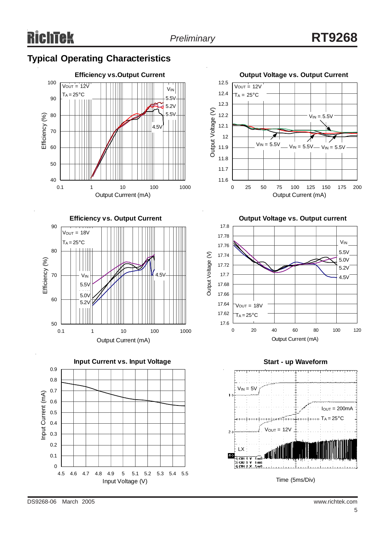## **Typical Operating Characteristics**











**Output Voltage vs. Output current**





DS9268-06 March 2005 www.richtek.com